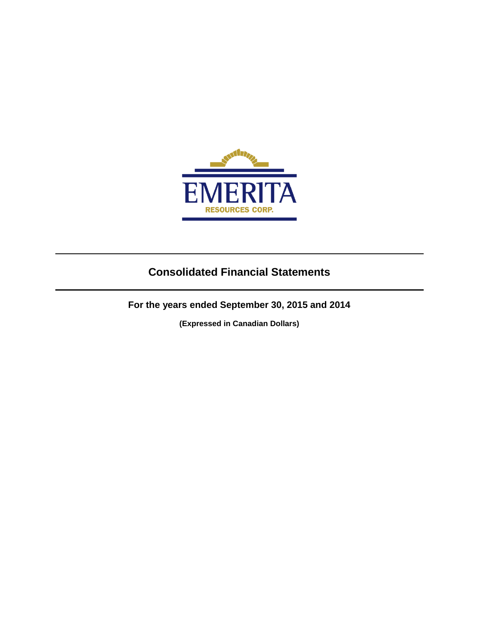

# **Consolidated Financial Statements**

**For the years ended September 30, 2015 and 2014**

**(Expressed in Canadian Dollars)**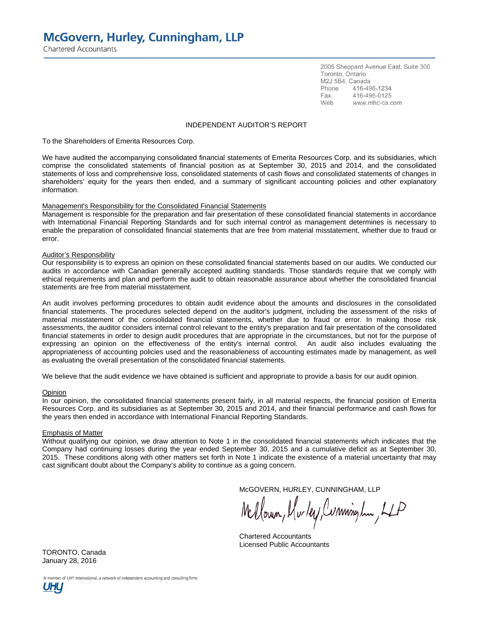**Chartered Accountants** 

2005 Sheppard Avenue East, Suite 300 Toronto, Ontario M2J 5B4, Canada 416-496-1234 Phone Fax 416-496-0125 Web www.mhc-ca.com

#### INDEPENDENT AUDITOR'S REPORT

To the Shareholders of Emerita Resources Corp.

We have audited the accompanying consolidated financial statements of Emerita Resources Corp. and its subsidiaries, which comprise the consolidated statements of financial position as at September 30, 2015 and 2014, and the consolidated statements of loss and comprehensive loss, consolidated statements of cash flows and consolidated statements of changes in shareholders' equity for the years then ended, and a summary of significant accounting policies and other explanatory information.

#### Management's Responsibility for the Consolidated Financial Statements

Management is responsible for the preparation and fair presentation of these consolidated financial statements in accordance with International Financial Reporting Standards and for such internal control as management determines is necessary to enable the preparation of consolidated financial statements that are free from material misstatement, whether due to fraud or error.

#### Auditor's Responsibility

Our responsibility is to express an opinion on these consolidated financial statements based on our audits. We conducted our audits in accordance with Canadian generally accepted auditing standards. Those standards require that we comply with ethical requirements and plan and perform the audit to obtain reasonable assurance about whether the consolidated financial statements are free from material misstatement.

An audit involves performing procedures to obtain audit evidence about the amounts and disclosures in the consolidated financial statements. The procedures selected depend on the auditor's judgment, including the assessment of the risks of material misstatement of the consolidated financial statements, whether due to fraud or error. In making those risk assessments, the auditor considers internal control relevant to the entity's preparation and fair presentation of the consolidated financial statements in order to design audit procedures that are appropriate in the circumstances, but not for the purpose of expressing an opinion on the effectiveness of the entity's internal control. An audit also includes evaluating the appropriateness of accounting policies used and the reasonableness of accounting estimates made by management, as well as evaluating the overall presentation of the consolidated financial statements.

We believe that the audit evidence we have obtained is sufficient and appropriate to provide a basis for our audit opinion.

#### Opinion

In our opinion, the consolidated financial statements present fairly, in all material respects, the financial position of Emerita Resources Corp. and its subsidiaries as at September 30, 2015 and 2014, and their financial performance and cash flows for the years then ended in accordance with International Financial Reporting Standards.

#### Emphasis of Matter

Without qualifying our opinion, we draw attention to Note 1 in the consolidated financial statements which indicates that the Company had continuing losses during the year ended September 30, 2015 and a cumulative deficit as at September 30, 2015. These conditions along with other matters set forth in Note 1 indicate the existence of a material uncertainty that may cast significant doubt about the Company's ability to continue as a going concern.

McGOVERN, HURLEY, CUNNINGHAM, LLP

Melloum, Murley, Cunninghin, LLP

 Chartered Accountants Licensed Public Accountants

TORONTO, Canada January 28, 2016

member of UHY International, a network of independent accounting and consulting firms

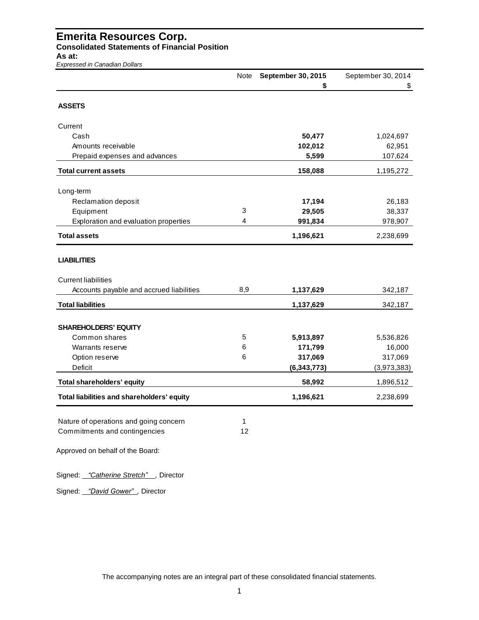# **Emerita Resources Corp.**

#### **Consolidated Statements of Financial Position**

**As at:**

*Expressed in Canadian Dollars*

|                                            | <b>Note</b> | <b>September 30, 2015</b><br>\$ | September 30, 2014 |
|--------------------------------------------|-------------|---------------------------------|--------------------|
|                                            |             |                                 | \$                 |
| <b>ASSETS</b>                              |             |                                 |                    |
| Current                                    |             |                                 |                    |
| Cash                                       |             | 50,477                          | 1,024,697          |
| Amounts receivable                         |             | 102,012                         | 62,951             |
| Prepaid expenses and advances              |             | 5,599                           | 107,624            |
| <b>Total current assets</b>                |             | 158,088                         | 1,195,272          |
| Long-term                                  |             |                                 |                    |
| Reclamation deposit                        |             | 17,194                          | 26,183             |
| Equipment                                  | 3           | 29,505                          | 38,337             |
| Exploration and evaluation properties      | 4           | 991,834                         | 978,907            |
| <b>Total assets</b>                        |             | 1,196,621                       | 2,238,699          |
|                                            |             |                                 |                    |
| <b>LIABILITIES</b>                         |             |                                 |                    |
| <b>Current liabilities</b>                 |             |                                 |                    |
| Accounts payable and accrued liabilities   | 8,9         | 1,137,629                       | 342,187            |
| <b>Total liabilities</b>                   |             | 1,137,629                       | 342,187            |
| <b>SHAREHOLDERS' EQUITY</b>                |             |                                 |                    |
| Common shares                              | 5           | 5,913,897                       | 5,536,826          |
| Warrants reserve                           | 6           | 171,799                         | 16,000             |
| Option reserve                             | 6           | 317,069                         | 317,069            |
| Deficit                                    |             | (6, 343, 773)                   | (3,973,383)        |
| Total shareholders' equity                 |             | 58,992                          | 1,896,512          |
| Total liabilities and shareholders' equity |             | 1,196,621                       | 2,238,699          |
|                                            |             |                                 |                    |
| Nature of operations and going concern     | 1           |                                 |                    |
| Commitments and contingencies              | 12          |                                 |                    |
| Approved on behalf of the Board:           |             |                                 |                    |
| Signed: "Catherine Stretch", Director      |             |                                 |                    |

Signed: *"David Gower" ,* Director

The accompanying notes are an integral part of these consolidated financial statements.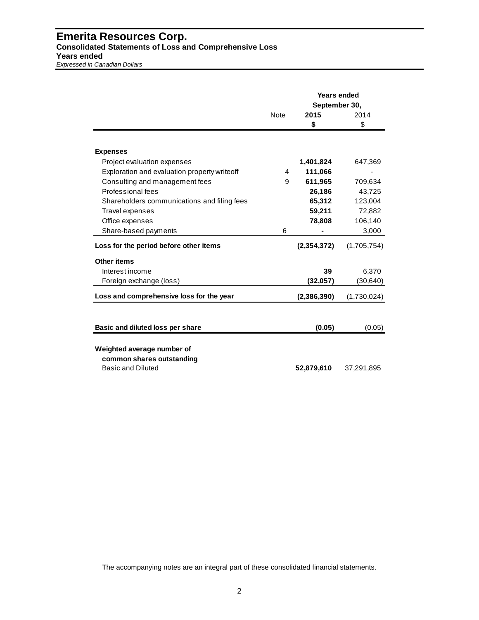# **Emerita Resources Corp. Consolidated Statements of Loss and Comprehensive Loss Years ended** *Expressed in Canadian Dollars*

|                                              |             | Years ended<br>September 30, |             |
|----------------------------------------------|-------------|------------------------------|-------------|
|                                              | <b>Note</b> | 2015                         | 2014        |
|                                              |             | \$                           | \$          |
|                                              |             |                              |             |
| <b>Expenses</b>                              |             |                              |             |
| Project evaluation expenses                  |             | 1,401,824                    | 647,369     |
| Exploration and evaluation property writeoff | 4           | 111,066                      |             |
| Consulting and management fees               | 9           | 611,965                      | 709,634     |
| Professional fees                            |             | 26,186                       | 43,725      |
| Shareholders communications and filing fees  |             | 65,312                       | 123,004     |
| Travel expenses                              |             | 59,211                       | 72,882      |
| Office expenses                              |             | 78,808                       | 106,140     |
| Share-based payments                         | 6           |                              | 3,000       |
| Loss for the period before other items       |             | (2,354,372)                  | (1,705,754) |
| Other items                                  |             |                              |             |
| Interest income                              |             | 39                           | 6,370       |
| Foreign exchange (loss)                      |             | (32, 057)                    | (30,640)    |
| Loss and comprehensive loss for the year     |             | (2,386,390)                  | (1,730,024) |
|                                              |             |                              |             |
| Basic and diluted loss per share             |             | (0.05)                       | (0.05)      |
|                                              |             |                              |             |
| Weighted average number of                   |             |                              |             |
| common shares outstanding                    |             |                              |             |
| <b>Basic and Diluted</b>                     |             | 52,879,610                   | 37,291,895  |

The accompanying notes are an integral part of these consolidated financial statements.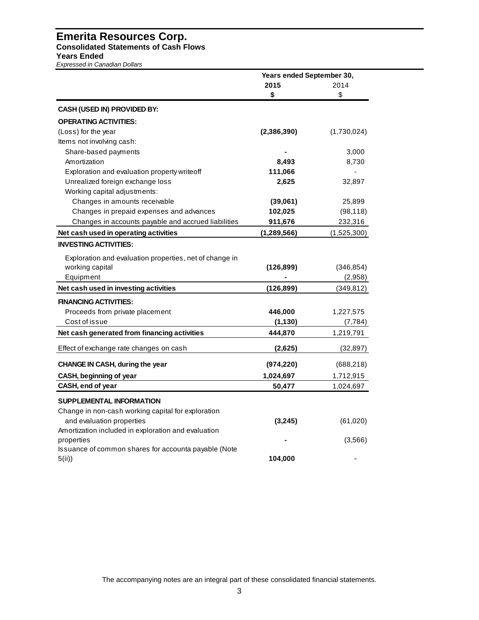# **Emerita Resources Corp.**

## **Consolidated Statements of Cash Flows**

**Years Ended**

*Expressed in Canadian Dollars*

|                                                         | Years ended September 30, |             |
|---------------------------------------------------------|---------------------------|-------------|
|                                                         | 2015                      | 2014        |
|                                                         | \$                        | \$          |
| CASH (USED IN) PROVIDED BY:                             |                           |             |
| <b>OPERATING ACTIVITIES:</b>                            |                           |             |
| (Loss) for the year                                     | (2,386,390)               | (1,730,024) |
| Items not involving cash:                               |                           |             |
| Share-based payments                                    |                           | 3,000       |
| Amortization                                            | 8,493                     | 8,730       |
| Exploration and evaluation property writeoff            | 111,066                   |             |
| Unrealized foreign exchange loss                        | 2,625                     | 32,897      |
| Working capital adjustments:                            |                           |             |
| Changes in amounts receivable                           | (39,061)                  | 25,899      |
| Changes in prepaid expenses and advances                | 102,025                   | (98, 118)   |
| Changes in accounts payable and accrued liabilities     | 911,676                   | 232,316     |
| Net cash used in operating activities                   | (1, 289, 566)             | (1,525,300) |
| <b>INVESTING ACTIVITIES:</b>                            |                           |             |
| Exploration and evaluation properties, net of change in |                           |             |
| working capital                                         | (126, 899)                | (346, 854)  |
| Equipment                                               |                           | (2,958)     |
| Net cash used in investing activities                   | (126, 899)                | (349, 812)  |
| <b>FINANCING ACTIVITIES:</b>                            |                           |             |
| Proceeds from private placement                         | 446,000                   | 1,227,575   |
| Cost of issue                                           | (1, 130)                  | (7, 784)    |
| Net cash generated from financing activities            | 444,870                   | 1,219,791   |
| Effect of exchange rate changes on cash                 | (2,625)                   | (32, 897)   |
| <b>CHANGE IN CASH, during the year</b>                  | (974, 220)                | (688, 218)  |
| CASH, beginning of year                                 | 1,024,697                 | 1,712,915   |
| CASH, end of year                                       | 50,477                    | 1,024,697   |
| <b>SUPPLEMENTAL INFORMATION</b>                         |                           |             |
| Change in non-cash working capital for exploration      |                           |             |
| and evaluation properties                               | (3, 245)                  | (61,020)    |
| Amortization included in exploration and evaluation     |                           |             |
| properties                                              |                           | (3, 566)    |
| Issuance of common shares for accounta payable (Note    |                           |             |
| 5(ii)                                                   | 104,000                   |             |

The accompanying notes are an integral part of these consolidated financial statements.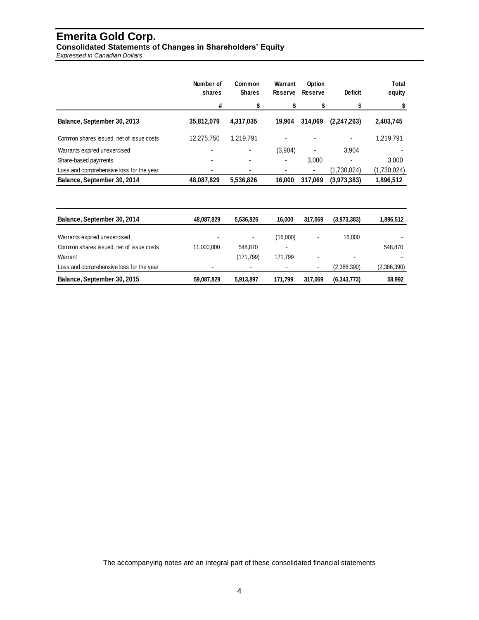# **Emerita Gold Corp. Consolidated Statements of Changes in Shareholders' Equity**

*Expressed in Canadian Dollars*

|                                          | Number of<br>shares | Common<br><b>Shares</b> | Warrant<br><b>Reserve</b> | <b>Option</b><br><b>Reserve</b> | <b>Deficit</b> | Total<br>equity |
|------------------------------------------|---------------------|-------------------------|---------------------------|---------------------------------|----------------|-----------------|
|                                          | #                   | S                       | S                         |                                 | S              |                 |
| Balance, September 30, 2013              | 35,812,079          | 4,317,035               | 19.904                    | 314.069                         | (2, 247, 263)  | 2,403,745       |
| Common shares issued, net of issue costs | 12,275,750          | 1,219,791               | $\blacksquare$            |                                 | ٠              | 1,219,791       |
| Warrants expired unexercised             | -                   | $\blacksquare$          | (3,904)                   | $\blacksquare$                  | 3.904          |                 |
| Share-based payments                     |                     |                         | ۰                         | 3,000                           |                | 3,000           |
| Loss and comprehensive loss for the year |                     |                         |                           |                                 | (1,730,024)    | (1,730,024)     |
| Balance, September 30, 2014              | 48,087,829          | 5,536,826               | 16.000                    | 317.069                         | (3.973.383)    | 1,896,512       |

| Balance, September 30, 2014              | 48.087.829               | 5.536.826 | 16.000                   | 317.069 | (3,973,383) | 1,896,512   |
|------------------------------------------|--------------------------|-----------|--------------------------|---------|-------------|-------------|
| Warrants expired unexercised             | $\overline{\phantom{a}}$ |           | (16,000)                 |         | 16.000      |             |
| Common shares issued, net of issue costs | 11.000.000               | 548.870   | $\overline{\phantom{a}}$ |         |             | 548,870     |
| Warrant                                  |                          | (171.799) | 171.799                  |         |             |             |
| Loss and comprehensive loss for the year |                          | ۰         |                          |         | (2,386,390) | (2,386,390) |
| Balance, September 30, 2015              | 59,087,829               | 5,913,897 | 171.799                  | 317.069 | (6,343,773) | 58.992      |

The accompanying notes are an integral part of these consolidated financial statements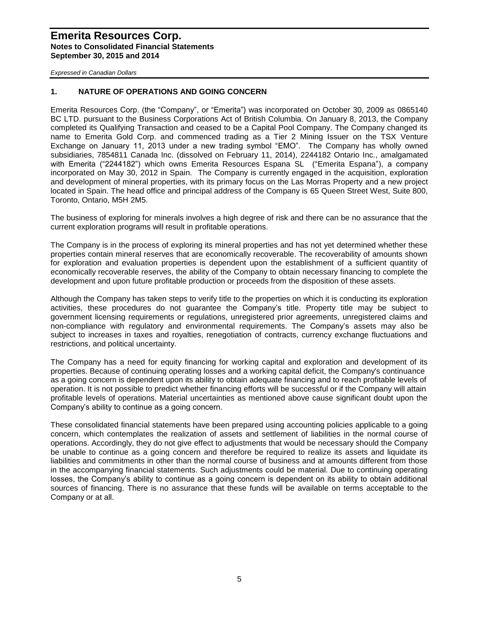*Expressed in Canadian Dollars*

# **1. NATURE OF OPERATIONS AND GOING CONCERN**

Emerita Resources Corp. (the "Company", or "Emerita") was incorporated on October 30, 2009 as 0865140 BC LTD. pursuant to the Business Corporations Act of British Columbia. On January 8, 2013, the Company completed its Qualifying Transaction and ceased to be a Capital Pool Company. The Company changed its name to Emerita Gold Corp. and commenced trading as a Tier 2 Mining Issuer on the TSX Venture Exchange on January 11, 2013 under a new trading symbol "EMO". The Company has wholly owned subsidiaries, 7854811 Canada Inc. (dissolved on February 11, 2014), 2244182 Ontario Inc., amalgamated with Emerita ("2244182") which owns Emerita Resources Espana SL ("Emerita Espana"), a company incorporated on May 30, 2012 in Spain. The Company is currently engaged in the acquisition, exploration and development of mineral properties, with its primary focus on the Las Morras Property and a new project located in Spain. The head office and principal address of the Company is 65 Queen Street West, Suite 800, Toronto, Ontario, M5H 2M5.

The business of exploring for minerals involves a high degree of risk and there can be no assurance that the current exploration programs will result in profitable operations.

The Company is in the process of exploring its mineral properties and has not yet determined whether these properties contain mineral reserves that are economically recoverable. The recoverability of amounts shown for exploration and evaluation properties is dependent upon the establishment of a sufficient quantity of economically recoverable reserves, the ability of the Company to obtain necessary financing to complete the development and upon future profitable production or proceeds from the disposition of these assets.

Although the Company has taken steps to verify title to the properties on which it is conducting its exploration activities, these procedures do not guarantee the Company's title. Property title may be subject to government licensing requirements or regulations, unregistered prior agreements, unregistered claims and non-compliance with regulatory and environmental requirements. The Company's assets may also be subject to increases in taxes and royalties, renegotiation of contracts, currency exchange fluctuations and restrictions, and political uncertainty.

The Company has a need for equity financing for working capital and exploration and development of its properties. Because of continuing operating losses and a working capital deficit, the Company's continuance as a going concern is dependent upon its ability to obtain adequate financing and to reach profitable levels of operation. It is not possible to predict whether financing efforts will be successful or if the Company will attain profitable levels of operations. Material uncertainties as mentioned above cause significant doubt upon the Company's ability to continue as a going concern.

These consolidated financial statements have been prepared using accounting policies applicable to a going concern, which contemplates the realization of assets and settlement of liabilities in the normal course of operations. Accordingly, they do not give effect to adjustments that would be necessary should the Company be unable to continue as a going concern and therefore be required to realize its assets and liquidate its liabilities and commitments in other than the normal course of business and at amounts different from those in the accompanying financial statements. Such adjustments could be material. Due to continuing operating losses, the Company's ability to continue as a going concern is dependent on its ability to obtain additional sources of financing. There is no assurance that these funds will be available on terms acceptable to the Company or at all.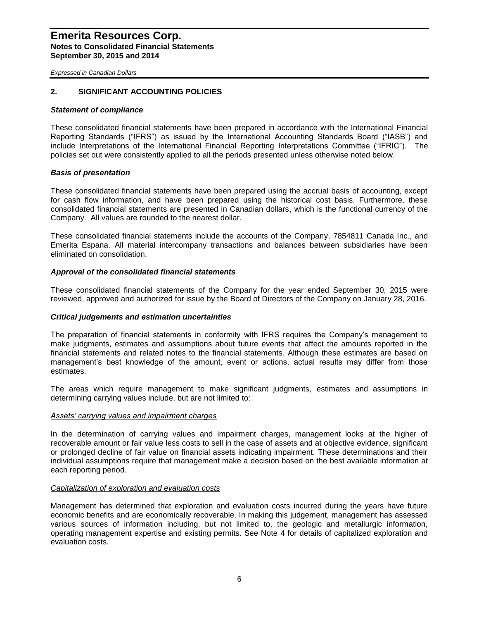*Expressed in Canadian Dollars*

# **2. SIGNIFICANT ACCOUNTING POLICIES**

#### *Statement of compliance*

These consolidated financial statements have been prepared in accordance with the International Financial Reporting Standards ("IFRS") as issued by the International Accounting Standards Board ("IASB") and include Interpretations of the International Financial Reporting Interpretations Committee ("IFRIC"). The policies set out were consistently applied to all the periods presented unless otherwise noted below.

#### *Basis of presentation*

These consolidated financial statements have been prepared using the accrual basis of accounting, except for cash flow information, and have been prepared using the historical cost basis. Furthermore, these consolidated financial statements are presented in Canadian dollars, which is the functional currency of the Company. All values are rounded to the nearest dollar.

These consolidated financial statements include the accounts of the Company, 7854811 Canada Inc., and Emerita Espana. All material intercompany transactions and balances between subsidiaries have been eliminated on consolidation.

#### *Approval of the consolidated financial statements*

These consolidated financial statements of the Company for the year ended September 30, 2015 were reviewed, approved and authorized for issue by the Board of Directors of the Company on January 28, 2016.

#### *Critical judgements and estimation uncertainties*

The preparation of financial statements in conformity with IFRS requires the Company's management to make judgments, estimates and assumptions about future events that affect the amounts reported in the financial statements and related notes to the financial statements. Although these estimates are based on management's best knowledge of the amount, event or actions, actual results may differ from those estimates.

The areas which require management to make significant judgments, estimates and assumptions in determining carrying values include, but are not limited to:

#### *Assets' carrying values and impairment charges*

In the determination of carrying values and impairment charges, management looks at the higher of recoverable amount or fair value less costs to sell in the case of assets and at objective evidence, significant or prolonged decline of fair value on financial assets indicating impairment. These determinations and their individual assumptions require that management make a decision based on the best available information at each reporting period.

#### *Capitalization of exploration and evaluation costs*

Management has determined that exploration and evaluation costs incurred during the years have future economic benefits and are economically recoverable. In making this judgement, management has assessed various sources of information including, but not limited to, the geologic and metallurgic information, operating management expertise and existing permits. See Note 4 for details of capitalized exploration and evaluation costs.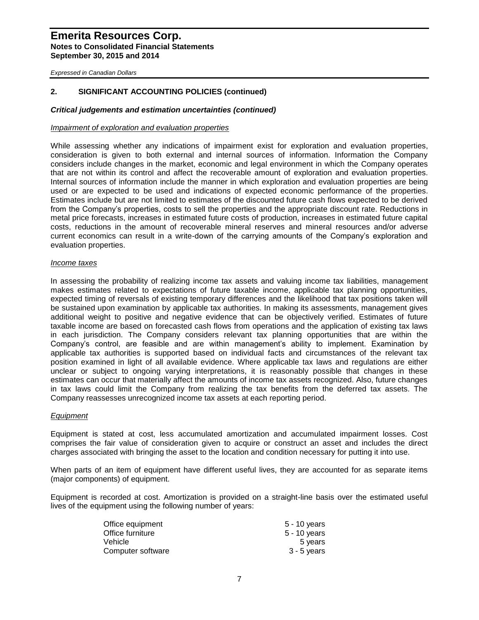*Expressed in Canadian Dollars*

# **2. SIGNIFICANT ACCOUNTING POLICIES (continued)**

### *Critical judgements and estimation uncertainties (continued)*

#### *Impairment of exploration and evaluation properties*

While assessing whether any indications of impairment exist for exploration and evaluation properties, consideration is given to both external and internal sources of information. Information the Company considers include changes in the market, economic and legal environment in which the Company operates that are not within its control and affect the recoverable amount of exploration and evaluation properties. Internal sources of information include the manner in which exploration and evaluation properties are being used or are expected to be used and indications of expected economic performance of the properties. Estimates include but are not limited to estimates of the discounted future cash flows expected to be derived from the Company's properties, costs to sell the properties and the appropriate discount rate. Reductions in metal price forecasts, increases in estimated future costs of production, increases in estimated future capital costs, reductions in the amount of recoverable mineral reserves and mineral resources and/or adverse current economics can result in a write-down of the carrying amounts of the Company's exploration and evaluation properties.

#### *Income taxes*

In assessing the probability of realizing income tax assets and valuing income tax liabilities, management makes estimates related to expectations of future taxable income, applicable tax planning opportunities, expected timing of reversals of existing temporary differences and the likelihood that tax positions taken will be sustained upon examination by applicable tax authorities. In making its assessments, management gives additional weight to positive and negative evidence that can be objectively verified. Estimates of future taxable income are based on forecasted cash flows from operations and the application of existing tax laws in each jurisdiction. The Company considers relevant tax planning opportunities that are within the Company's control, are feasible and are within management's ability to implement. Examination by applicable tax authorities is supported based on individual facts and circumstances of the relevant tax position examined in light of all available evidence. Where applicable tax laws and regulations are either unclear or subject to ongoing varying interpretations, it is reasonably possible that changes in these estimates can occur that materially affect the amounts of income tax assets recognized. Also, future changes in tax laws could limit the Company from realizing the tax benefits from the deferred tax assets. The Company reassesses unrecognized income tax assets at each reporting period.

#### *Equipment*

Equipment is stated at cost, less accumulated amortization and accumulated impairment losses. Cost comprises the fair value of consideration given to acquire or construct an asset and includes the direct charges associated with bringing the asset to the location and condition necessary for putting it into use.

When parts of an item of equipment have different useful lives, they are accounted for as separate items (major components) of equipment.

Equipment is recorded at cost. Amortization is provided on a straight-line basis over the estimated useful lives of the equipment using the following number of years:

| Office equipment  | 5 - 10 years |
|-------------------|--------------|
| Office furniture  | 5 - 10 years |
| Vehicle           | 5 years      |
| Computer software | 3 - 5 years  |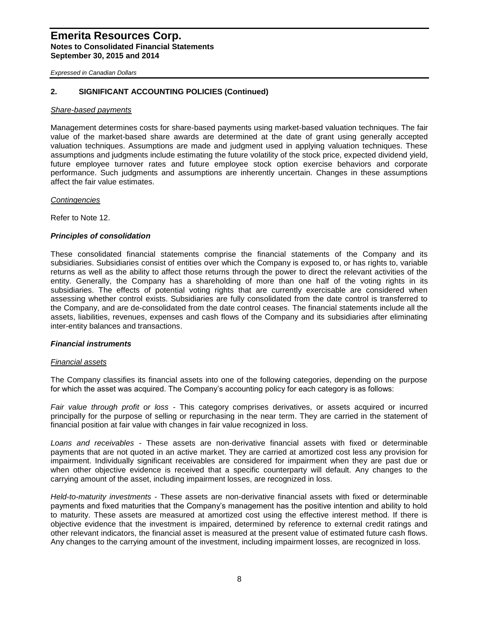*Expressed in Canadian Dollars*

# **2. SIGNIFICANT ACCOUNTING POLICIES (Continued)**

#### *Share-based payments*

Management determines costs for share-based payments using market-based valuation techniques. The fair value of the market-based share awards are determined at the date of grant using generally accepted valuation techniques. Assumptions are made and judgment used in applying valuation techniques. These assumptions and judgments include estimating the future volatility of the stock price, expected dividend yield, future employee turnover rates and future employee stock option exercise behaviors and corporate performance. Such judgments and assumptions are inherently uncertain. Changes in these assumptions affect the fair value estimates.

#### *Contingencies*

Refer to Note 12.

#### *Principles of consolidation*

These consolidated financial statements comprise the financial statements of the Company and its subsidiaries. Subsidiaries consist of entities over which the Company is exposed to, or has rights to, variable returns as well as the ability to affect those returns through the power to direct the relevant activities of the entity. Generally, the Company has a shareholding of more than one half of the voting rights in its subsidiaries. The effects of potential voting rights that are currently exercisable are considered when assessing whether control exists. Subsidiaries are fully consolidated from the date control is transferred to the Company, and are de-consolidated from the date control ceases. The financial statements include all the assets, liabilities, revenues, expenses and cash flows of the Company and its subsidiaries after eliminating inter-entity balances and transactions.

#### *Financial instruments*

#### *Financial assets*

The Company classifies its financial assets into one of the following categories, depending on the purpose for which the asset was acquired. The Company's accounting policy for each category is as follows:

*Fair value through profit or loss -* This category comprises derivatives, or assets acquired or incurred principally for the purpose of selling or repurchasing in the near term. They are carried in the statement of financial position at fair value with changes in fair value recognized in loss.

*Loans and receivables -* These assets are non-derivative financial assets with fixed or determinable payments that are not quoted in an active market. They are carried at amortized cost less any provision for impairment. Individually significant receivables are considered for impairment when they are past due or when other objective evidence is received that a specific counterparty will default. Any changes to the carrying amount of the asset, including impairment losses, are recognized in loss.

*Held-to-maturity investments* - These assets are non-derivative financial assets with fixed or determinable payments and fixed maturities that the Company's management has the positive intention and ability to hold to maturity. These assets are measured at amortized cost using the effective interest method. If there is objective evidence that the investment is impaired, determined by reference to external credit ratings and other relevant indicators, the financial asset is measured at the present value of estimated future cash flows. Any changes to the carrying amount of the investment, including impairment losses, are recognized in loss.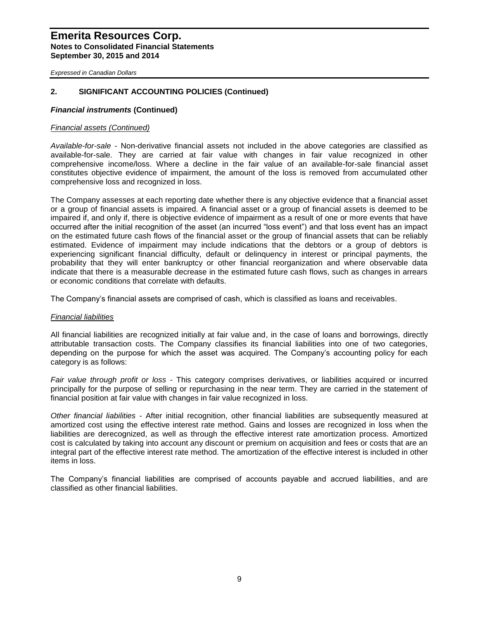*Expressed in Canadian Dollars*

# **2. SIGNIFICANT ACCOUNTING POLICIES (Continued)**

### *Financial instruments* **(Continued)**

#### *Financial assets (Continued)*

*Available-for-sale* - Non-derivative financial assets not included in the above categories are classified as available-for-sale. They are carried at fair value with changes in fair value recognized in other comprehensive income/loss. Where a decline in the fair value of an available-for-sale financial asset constitutes objective evidence of impairment, the amount of the loss is removed from accumulated other comprehensive loss and recognized in loss.

The Company assesses at each reporting date whether there is any objective evidence that a financial asset or a group of financial assets is impaired. A financial asset or a group of financial assets is deemed to be impaired if, and only if, there is objective evidence of impairment as a result of one or more events that have occurred after the initial recognition of the asset (an incurred "loss event") and that loss event has an impact on the estimated future cash flows of the financial asset or the group of financial assets that can be reliably estimated. Evidence of impairment may include indications that the debtors or a group of debtors is experiencing significant financial difficulty, default or delinquency in interest or principal payments, the probability that they will enter bankruptcy or other financial reorganization and where observable data indicate that there is a measurable decrease in the estimated future cash flows, such as changes in arrears or economic conditions that correlate with defaults.

The Company's financial assets are comprised of cash, which is classified as loans and receivables.

#### *Financial liabilities*

All financial liabilities are recognized initially at fair value and, in the case of loans and borrowings, directly attributable transaction costs. The Company classifies its financial liabilities into one of two categories, depending on the purpose for which the asset was acquired. The Company's accounting policy for each category is as follows:

*Fair value through profit or loss* - This category comprises derivatives, or liabilities acquired or incurred principally for the purpose of selling or repurchasing in the near term. They are carried in the statement of financial position at fair value with changes in fair value recognized in loss.

*Other financial liabilities* - After initial recognition, other financial liabilities are subsequently measured at amortized cost using the effective interest rate method. Gains and losses are recognized in loss when the liabilities are derecognized, as well as through the effective interest rate amortization process. Amortized cost is calculated by taking into account any discount or premium on acquisition and fees or costs that are an integral part of the effective interest rate method. The amortization of the effective interest is included in other items in loss.

The Company's financial liabilities are comprised of accounts payable and accrued liabilities, and are classified as other financial liabilities.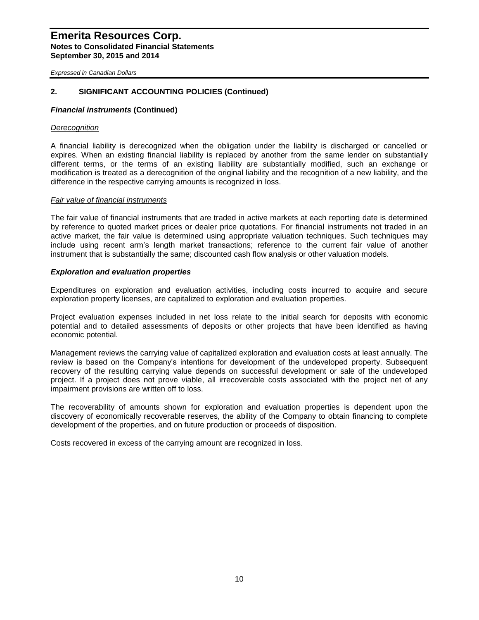*Expressed in Canadian Dollars*

# **2. SIGNIFICANT ACCOUNTING POLICIES (Continued)**

### *Financial instruments* **(Continued)**

#### *Derecognition*

A financial liability is derecognized when the obligation under the liability is discharged or cancelled or expires. When an existing financial liability is replaced by another from the same lender on substantially different terms, or the terms of an existing liability are substantially modified, such an exchange or modification is treated as a derecognition of the original liability and the recognition of a new liability, and the difference in the respective carrying amounts is recognized in loss.

#### *Fair value of financial instruments*

The fair value of financial instruments that are traded in active markets at each reporting date is determined by reference to quoted market prices or dealer price quotations. For financial instruments not traded in an active market, the fair value is determined using appropriate valuation techniques. Such techniques may include using recent arm's length market transactions; reference to the current fair value of another instrument that is substantially the same; discounted cash flow analysis or other valuation models.

#### *Exploration and evaluation properties*

Expenditures on exploration and evaluation activities, including costs incurred to acquire and secure exploration property licenses, are capitalized to exploration and evaluation properties.

Project evaluation expenses included in net loss relate to the initial search for deposits with economic potential and to detailed assessments of deposits or other projects that have been identified as having economic potential.

Management reviews the carrying value of capitalized exploration and evaluation costs at least annually. The review is based on the Company's intentions for development of the undeveloped property. Subsequent recovery of the resulting carrying value depends on successful development or sale of the undeveloped project. If a project does not prove viable, all irrecoverable costs associated with the project net of any impairment provisions are written off to loss.

The recoverability of amounts shown for exploration and evaluation properties is dependent upon the discovery of economically recoverable reserves, the ability of the Company to obtain financing to complete development of the properties, and on future production or proceeds of disposition.

Costs recovered in excess of the carrying amount are recognized in loss.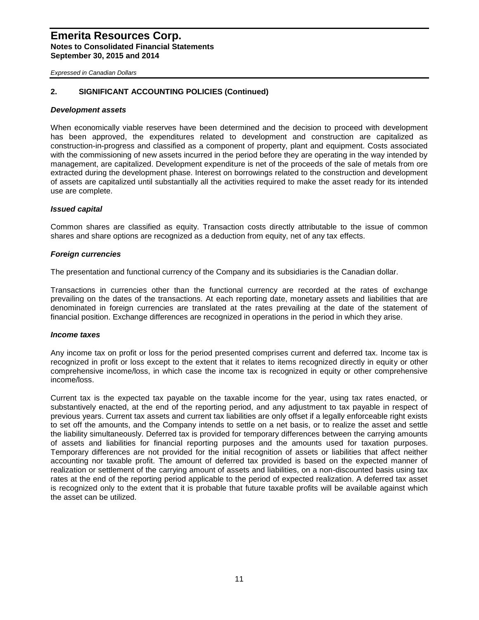*Expressed in Canadian Dollars*

# **2. SIGNIFICANT ACCOUNTING POLICIES (Continued)**

#### *Development assets*

When economically viable reserves have been determined and the decision to proceed with development has been approved, the expenditures related to development and construction are capitalized as construction-in-progress and classified as a component of property, plant and equipment. Costs associated with the commissioning of new assets incurred in the period before they are operating in the way intended by management, are capitalized. Development expenditure is net of the proceeds of the sale of metals from ore extracted during the development phase. Interest on borrowings related to the construction and development of assets are capitalized until substantially all the activities required to make the asset ready for its intended use are complete.

#### *Issued capital*

Common shares are classified as equity. Transaction costs directly attributable to the issue of common shares and share options are recognized as a deduction from equity, net of any tax effects.

#### *Foreign currencies*

The presentation and functional currency of the Company and its subsidiaries is the Canadian dollar.

Transactions in currencies other than the functional currency are recorded at the rates of exchange prevailing on the dates of the transactions. At each reporting date, monetary assets and liabilities that are denominated in foreign currencies are translated at the rates prevailing at the date of the statement of financial position. Exchange differences are recognized in operations in the period in which they arise.

#### *Income taxes*

Any income tax on profit or loss for the period presented comprises current and deferred tax. Income tax is recognized in profit or loss except to the extent that it relates to items recognized directly in equity or other comprehensive income/loss, in which case the income tax is recognized in equity or other comprehensive income/loss.

Current tax is the expected tax payable on the taxable income for the year, using tax rates enacted, or substantively enacted, at the end of the reporting period, and any adjustment to tax payable in respect of previous years. Current tax assets and current tax liabilities are only offset if a legally enforceable right exists to set off the amounts, and the Company intends to settle on a net basis, or to realize the asset and settle the liability simultaneously. Deferred tax is provided for temporary differences between the carrying amounts of assets and liabilities for financial reporting purposes and the amounts used for taxation purposes. Temporary differences are not provided for the initial recognition of assets or liabilities that affect neither accounting nor taxable profit. The amount of deferred tax provided is based on the expected manner of realization or settlement of the carrying amount of assets and liabilities, on a non-discounted basis using tax rates at the end of the reporting period applicable to the period of expected realization. A deferred tax asset is recognized only to the extent that it is probable that future taxable profits will be available against which the asset can be utilized.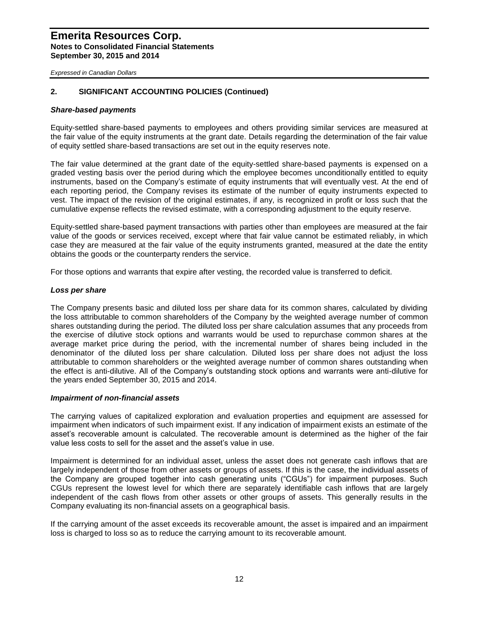*Expressed in Canadian Dollars*

# **2. SIGNIFICANT ACCOUNTING POLICIES (Continued)**

#### *Share-based payments*

Equity-settled share-based payments to employees and others providing similar services are measured at the fair value of the equity instruments at the grant date. Details regarding the determination of the fair value of equity settled share-based transactions are set out in the equity reserves note.

The fair value determined at the grant date of the equity-settled share-based payments is expensed on a graded vesting basis over the period during which the employee becomes unconditionally entitled to equity instruments, based on the Company's estimate of equity instruments that will eventually vest. At the end of each reporting period, the Company revises its estimate of the number of equity instruments expected to vest. The impact of the revision of the original estimates, if any, is recognized in profit or loss such that the cumulative expense reflects the revised estimate, with a corresponding adjustment to the equity reserve.

Equity-settled share-based payment transactions with parties other than employees are measured at the fair value of the goods or services received, except where that fair value cannot be estimated reliably, in which case they are measured at the fair value of the equity instruments granted, measured at the date the entity obtains the goods or the counterparty renders the service.

For those options and warrants that expire after vesting, the recorded value is transferred to deficit.

#### *Loss per share*

The Company presents basic and diluted loss per share data for its common shares, calculated by dividing the loss attributable to common shareholders of the Company by the weighted average number of common shares outstanding during the period. The diluted loss per share calculation assumes that any proceeds from the exercise of dilutive stock options and warrants would be used to repurchase common shares at the average market price during the period, with the incremental number of shares being included in the denominator of the diluted loss per share calculation. Diluted loss per share does not adjust the loss attributable to common shareholders or the weighted average number of common shares outstanding when the effect is anti-dilutive. All of the Company's outstanding stock options and warrants were anti-dilutive for the years ended September 30, 2015 and 2014.

#### *Impairment of non-financial assets*

The carrying values of capitalized exploration and evaluation properties and equipment are assessed for impairment when indicators of such impairment exist. If any indication of impairment exists an estimate of the asset's recoverable amount is calculated. The recoverable amount is determined as the higher of the fair value less costs to sell for the asset and the asset's value in use.

Impairment is determined for an individual asset, unless the asset does not generate cash inflows that are largely independent of those from other assets or groups of assets. If this is the case, the individual assets of the Company are grouped together into cash generating units ("CGUs") for impairment purposes. Such CGUs represent the lowest level for which there are separately identifiable cash inflows that are largely independent of the cash flows from other assets or other groups of assets. This generally results in the Company evaluating its non-financial assets on a geographical basis.

If the carrying amount of the asset exceeds its recoverable amount, the asset is impaired and an impairment loss is charged to loss so as to reduce the carrying amount to its recoverable amount.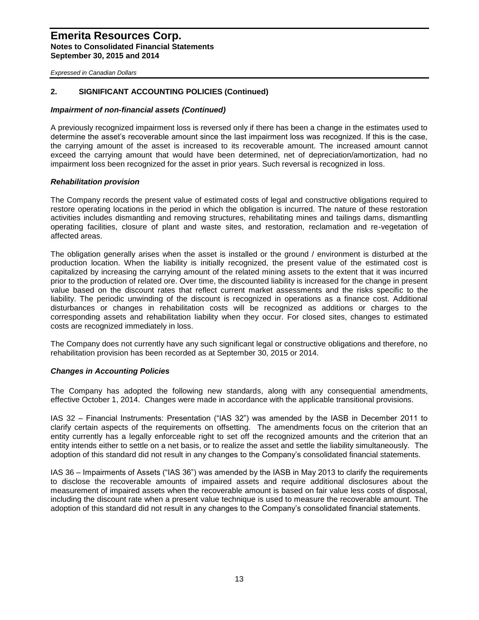*Expressed in Canadian Dollars*

# **2. SIGNIFICANT ACCOUNTING POLICIES (Continued)**

## *Impairment of non-financial assets (Continued)*

A previously recognized impairment loss is reversed only if there has been a change in the estimates used to determine the asset's recoverable amount since the last impairment loss was recognized. If this is the case, the carrying amount of the asset is increased to its recoverable amount. The increased amount cannot exceed the carrying amount that would have been determined, net of depreciation/amortization, had no impairment loss been recognized for the asset in prior years. Such reversal is recognized in loss.

#### *Rehabilitation provision*

The Company records the present value of estimated costs of legal and constructive obligations required to restore operating locations in the period in which the obligation is incurred. The nature of these restoration activities includes dismantling and removing structures, rehabilitating mines and tailings dams, dismantling operating facilities, closure of plant and waste sites, and restoration, reclamation and re-vegetation of affected areas.

The obligation generally arises when the asset is installed or the ground / environment is disturbed at the production location. When the liability is initially recognized, the present value of the estimated cost is capitalized by increasing the carrying amount of the related mining assets to the extent that it was incurred prior to the production of related ore. Over time, the discounted liability is increased for the change in present value based on the discount rates that reflect current market assessments and the risks specific to the liability. The periodic unwinding of the discount is recognized in operations as a finance cost. Additional disturbances or changes in rehabilitation costs will be recognized as additions or charges to the corresponding assets and rehabilitation liability when they occur. For closed sites, changes to estimated costs are recognized immediately in loss.

The Company does not currently have any such significant legal or constructive obligations and therefore, no rehabilitation provision has been recorded as at September 30, 2015 or 2014.

## *Changes in Accounting Policies*

The Company has adopted the following new standards, along with any consequential amendments, effective October 1, 2014. Changes were made in accordance with the applicable transitional provisions.

IAS 32 – Financial Instruments: Presentation ("IAS 32") was amended by the IASB in December 2011 to clarify certain aspects of the requirements on offsetting. The amendments focus on the criterion that an entity currently has a legally enforceable right to set off the recognized amounts and the criterion that an entity intends either to settle on a net basis, or to realize the asset and settle the liability simultaneously. The adoption of this standard did not result in any changes to the Company's consolidated financial statements.

IAS 36 – Impairments of Assets ("IAS 36") was amended by the IASB in May 2013 to clarify the requirements to disclose the recoverable amounts of impaired assets and require additional disclosures about the measurement of impaired assets when the recoverable amount is based on fair value less costs of disposal, including the discount rate when a present value technique is used to measure the recoverable amount. The adoption of this standard did not result in any changes to the Company's consolidated financial statements.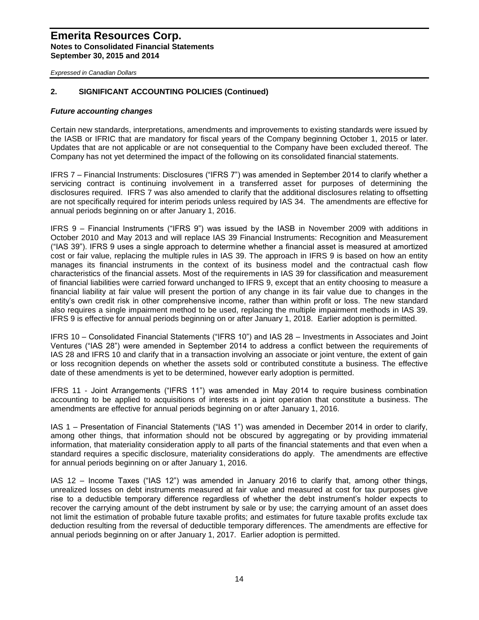*Expressed in Canadian Dollars*

# **2. SIGNIFICANT ACCOUNTING POLICIES (Continued)**

#### *Future accounting changes*

Certain new standards, interpretations, amendments and improvements to existing standards were issued by the IASB or IFRIC that are mandatory for fiscal years of the Company beginning October 1, 2015 or later. Updates that are not applicable or are not consequential to the Company have been excluded thereof. The Company has not yet determined the impact of the following on its consolidated financial statements.

IFRS 7 – Financial Instruments: Disclosures ("IFRS 7") was amended in September 2014 to clarify whether a servicing contract is continuing involvement in a transferred asset for purposes of determining the disclosures required. IFRS 7 was also amended to clarify that the additional disclosures relating to offsetting are not specifically required for interim periods unless required by IAS 34. The amendments are effective for annual periods beginning on or after January 1, 2016.

IFRS 9 – Financial Instruments ("IFRS 9") was issued by the IASB in November 2009 with additions in October 2010 and May 2013 and will replace IAS 39 Financial Instruments: Recognition and Measurement ("IAS 39"). IFRS 9 uses a single approach to determine whether a financial asset is measured at amortized cost or fair value, replacing the multiple rules in IAS 39. The approach in IFRS 9 is based on how an entity manages its financial instruments in the context of its business model and the contractual cash flow characteristics of the financial assets. Most of the requirements in IAS 39 for classification and measurement of financial liabilities were carried forward unchanged to IFRS 9, except that an entity choosing to measure a financial liability at fair value will present the portion of any change in its fair value due to changes in the entity's own credit risk in other comprehensive income, rather than within profit or loss. The new standard also requires a single impairment method to be used, replacing the multiple impairment methods in IAS 39. IFRS 9 is effective for annual periods beginning on or after January 1, 2018. Earlier adoption is permitted.

IFRS 10 – Consolidated Financial Statements ("IFRS 10") and IAS 28 – Investments in Associates and Joint Ventures ("IAS 28") were amended in September 2014 to address a conflict between the requirements of IAS 28 and IFRS 10 and clarify that in a transaction involving an associate or joint venture, the extent of gain or loss recognition depends on whether the assets sold or contributed constitute a business. The effective date of these amendments is yet to be determined, however early adoption is permitted.

IFRS 11 - Joint Arrangements ("IFRS 11") was amended in May 2014 to require business combination accounting to be applied to acquisitions of interests in a joint operation that constitute a business. The amendments are effective for annual periods beginning on or after January 1, 2016.

IAS 1 – Presentation of Financial Statements ("IAS 1") was amended in December 2014 in order to clarify, among other things, that information should not be obscured by aggregating or by providing immaterial information, that materiality consideration apply to all parts of the financial statements and that even when a standard requires a specific disclosure, materiality considerations do apply. The amendments are effective for annual periods beginning on or after January 1, 2016.

IAS 12 – Income Taxes ("IAS 12") was amended in January 2016 to clarify that, among other things, unrealized losses on debt instruments measured at fair value and measured at cost for tax purposes give rise to a deductible temporary difference regardless of whether the debt instrument's holder expects to recover the carrying amount of the debt instrument by sale or by use; the carrying amount of an asset does not limit the estimation of probable future taxable profits; and estimates for future taxable profits exclude tax deduction resulting from the reversal of deductible temporary differences. The amendments are effective for annual periods beginning on or after January 1, 2017. Earlier adoption is permitted.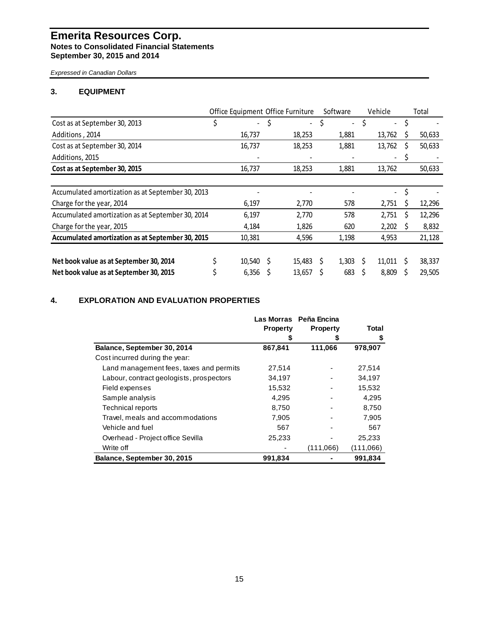*Expressed in Canadian Dollars*

# **3. EQUIPMENT**

|                                                   |                                |    | Office Equipment Office Furniture |    | Software                 |    | Vehicle                  |    | Total  |
|---------------------------------------------------|--------------------------------|----|-----------------------------------|----|--------------------------|----|--------------------------|----|--------|
| Cost as at September 30, 2013                     | \$<br>$\overline{\phantom{a}}$ | \$ | $\overline{\phantom{a}}$          | \$ | $\overline{\phantom{a}}$ | \$ | $\overline{\phantom{a}}$ | \$ |        |
| Additions, 2014                                   | 16,737                         |    | 18,253                            |    | 1,881                    |    | 13,762                   | S  | 50,633 |
| Cost as at September 30, 2014                     | 16,737                         |    | 18,253                            |    | 1,881                    |    | 13,762                   | Ś  | 50,633 |
| Additions, 2015                                   |                                |    |                                   |    |                          |    |                          | S  |        |
| Cost as at September 30, 2015                     | 16,737                         |    | 18,253                            |    | 1,881                    |    | 13,762                   |    | 50,633 |
|                                                   |                                |    |                                   |    |                          |    |                          |    |        |
| Accumulated amortization as at September 30, 2013 |                                |    |                                   |    |                          |    | $\sim$                   | \$ |        |
| Charge for the year, 2014                         | 6,197                          |    | 2,770                             |    | 578                      |    | 2,751                    | S  | 12,296 |
| Accumulated amortization as at September 30, 2014 | 6,197                          |    | 2,770                             |    | 578                      |    | 2,751                    | S  | 12,296 |
| Charge for the year, 2015                         | 4,184                          |    | 1,826                             |    | 620                      |    | 2,202                    | S  | 8,832  |
| Accumulated amortization as at September 30, 2015 | 10,381                         |    | 4,596                             |    | 1,198                    |    | 4,953                    |    | 21,128 |
|                                                   |                                |    |                                   |    |                          |    |                          |    |        |
| Net book value as at September 30, 2014           | 10,540                         |    | 15,483                            | S  | 1,303                    | Ŝ  | 11,011                   | S  | 38,337 |
| Net book value as at September 30, 2015           | 6,356                          | S  | 13,657                            | S  | 683                      | S  | 8,809                    | S  | 29,505 |

# **4. EXPLORATION AND EVALUATION PROPERTIES**

|                                          |                 | Las Morras Peña Encina |           |
|------------------------------------------|-----------------|------------------------|-----------|
|                                          | <b>Property</b> | <b>Property</b>        | Total     |
|                                          |                 | S                      | \$        |
| Balance, September 30, 2014              | 867,841         | 111,066                | 978,907   |
| Cost incurred during the year:           |                 |                        |           |
| Land management fees, taxes and permits  | 27,514          |                        | 27,514    |
| Labour, contract geologists, prospectors | 34,197          |                        | 34,197    |
| Field expenses                           | 15,532          |                        | 15,532    |
| Sample analysis                          | 4,295           |                        | 4,295     |
| Technical reports                        | 8,750           |                        | 8,750     |
| Travel, meals and accommodations         | 7,905           |                        | 7,905     |
| Vehicle and fuel                         | 567             |                        | 567       |
| Overhead - Project office Sevilla        | 25,233          |                        | 25,233    |
| Write off                                |                 | (111,066)              | (111,066) |
| Balance, September 30, 2015              | 991,834         |                        | 991.834   |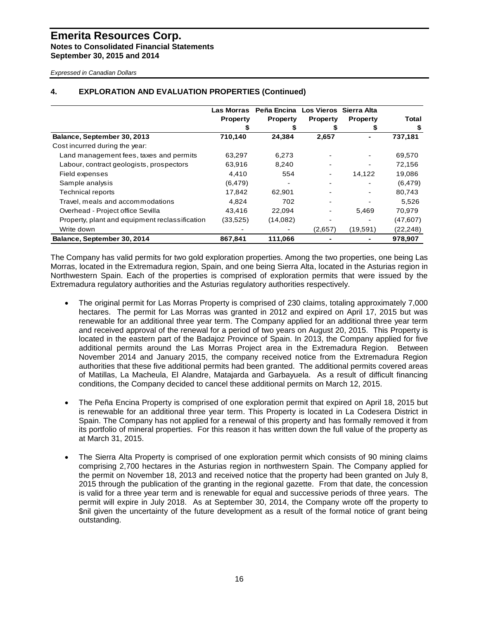*Expressed in Canadian Dollars*

# **4. EXPLORATION AND EVALUATION PROPERTIES (Continued)**

|                                                | Las Morras      | Peña Encina Los Vieros Sierra Alta |                 |                 |          |
|------------------------------------------------|-----------------|------------------------------------|-----------------|-----------------|----------|
|                                                | <b>Property</b> | <b>Property</b>                    | <b>Property</b> | <b>Property</b> | Total    |
|                                                |                 |                                    |                 |                 |          |
| Balance, September 30, 2013                    | 710,140         | 24,384                             | 2,657           |                 | 737,181  |
| Cost incurred during the year:                 |                 |                                    |                 |                 |          |
| Land management fees, taxes and permits        | 63,297          | 6,273                              |                 |                 | 69,570   |
| Labour, contract geologists, prospectors       | 63,916          | 8,240                              |                 |                 | 72,156   |
| Field expenses                                 | 4,410           | 554                                |                 | 14,122          | 19,086   |
| Sample analysis                                | (6, 479)        |                                    |                 |                 | (6, 479) |
| <b>Technical reports</b>                       | 17,842          | 62,901                             |                 |                 | 80,743   |
| Travel, meals and accommodations               | 4.824           | 702                                |                 |                 | 5,526    |
| Overhead - Project office Sevilla              | 43.416          | 22,094                             |                 | 5,469           | 70,979   |
| Property, plant and equipment reclassification | (33,525)        | (14,082)                           |                 |                 | (47,607) |
| Write down                                     |                 |                                    | (2,657)         | (19, 591)       | (22,248) |
| Balance, September 30, 2014                    | 867,841         | 111,066                            |                 |                 | 978.907  |

The Company has valid permits for two gold exploration properties. Among the two properties, one being Las Morras, located in the Extremadura region, Spain, and one being Sierra Alta, located in the Asturias region in Northwestern Spain. Each of the properties is comprised of exploration permits that were issued by the Extremadura regulatory authorities and the Asturias regulatory authorities respectively.

- The original permit for Las Morras Property is comprised of 230 claims, totaling approximately 7,000 hectares. The permit for Las Morras was granted in 2012 and expired on April 17, 2015 but was renewable for an additional three year term. The Company applied for an additional three year term and received approval of the renewal for a period of two years on August 20, 2015. This Property is located in the eastern part of the Badajoz Province of Spain. In 2013, the Company applied for five additional permits around the Las Morras Project area in the Extremadura Region. Between November 2014 and January 2015, the company received notice from the Extremadura Region authorities that these five additional permits had been granted. The additional permits covered areas of Matillas, La Macheula, El Alandre, Matajarda and Garbayuela. As a result of difficult financing conditions, the Company decided to cancel these additional permits on March 12, 2015.
- The Peña Encina Property is comprised of one exploration permit that expired on April 18, 2015 but is renewable for an additional three year term. This Property is located in La Codesera District in Spain. The Company has not applied for a renewal of this property and has formally removed it from its portfolio of mineral properties. For this reason it has written down the full value of the property as at March 31, 2015.
- The Sierra Alta Property is comprised of one exploration permit which consists of 90 mining claims comprising 2,700 hectares in the Asturias region in northwestern Spain. The Company applied for the permit on November 18, 2013 and received notice that the property had been granted on July 8, 2015 through the publication of the granting in the regional gazette. From that date, the concession is valid for a three year term and is renewable for equal and successive periods of three years. The permit will expire in July 2018. As at September 30, 2014, the Company wrote off the property to \$nil given the uncertainty of the future development as a result of the formal notice of grant being outstanding.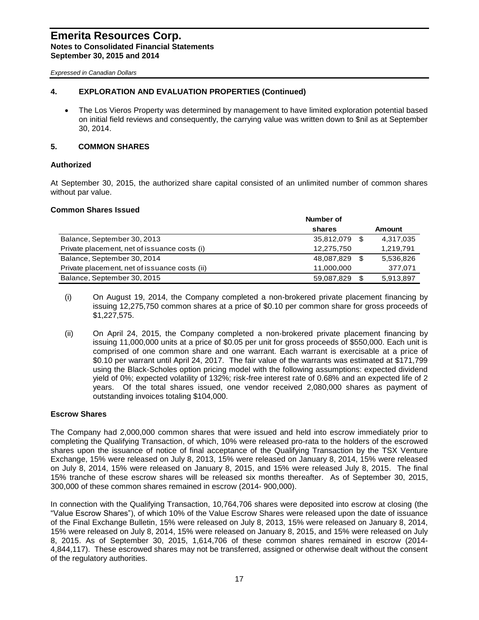*Expressed in Canadian Dollars*

### **4. EXPLORATION AND EVALUATION PROPERTIES (Continued)**

• The Los Vieros Property was determined by management to have limited exploration potential based on initial field reviews and consequently, the carrying value was written down to \$nil as at September 30, 2014.

## **5. COMMON SHARES**

## **Authorized**

At September 30, 2015, the authorized share capital consisted of an unlimited number of common shares without par value.

#### **Common Shares Issued**

|                                               | Number of  |      |           |
|-----------------------------------------------|------------|------|-----------|
|                                               | shares     |      | Amount    |
| Balance, September 30, 2013                   | 35,812,079 | \$.  | 4,317,035 |
| Private placement, net of issuance costs (i)  | 12,275,750 |      | 1,219,791 |
| Balance, September 30, 2014                   | 48,087,829 | - \$ | 5,536,826 |
| Private placement, net of issuance costs (ii) | 11,000,000 |      | 377,071   |
| Balance, September 30, 2015                   | 59,087,829 |      | 5,913,897 |

- (i) On August 19, 2014, the Company completed a non-brokered private placement financing by issuing 12,275,750 common shares at a price of \$0.10 per common share for gross proceeds of \$1,227,575.
- (ii) On April 24, 2015, the Company completed a non-brokered private placement financing by issuing 11,000,000 units at a price of \$0.05 per unit for gross proceeds of \$550,000. Each unit is comprised of one common share and one warrant. Each warrant is exercisable at a price of \$0.10 per warrant until April 24, 2017. The fair value of the warrants was estimated at \$171,799 using the Black-Scholes option pricing model with the following assumptions: expected dividend yield of 0%; expected volatility of 132%; risk-free interest rate of 0.68% and an expected life of 2 years. Of the total shares issued, one vendor received 2,080,000 shares as payment of outstanding invoices totaling \$104,000.

# **Escrow Shares**

The Company had 2,000,000 common shares that were issued and held into escrow immediately prior to completing the Qualifying Transaction, of which, 10% were released pro-rata to the holders of the escrowed shares upon the issuance of notice of final acceptance of the Qualifying Transaction by the TSX Venture Exchange, 15% were released on July 8, 2013, 15% were released on January 8, 2014, 15% were released on July 8, 2014, 15% were released on January 8, 2015, and 15% were released July 8, 2015. The final 15% tranche of these escrow shares will be released six months thereafter. As of September 30, 2015, 300,000 of these common shares remained in escrow (2014- 900,000).

In connection with the Qualifying Transaction, 10,764,706 shares were deposited into escrow at closing (the "Value Escrow Shares"), of which 10% of the Value Escrow Shares were released upon the date of issuance of the Final Exchange Bulletin, 15% were released on July 8, 2013, 15% were released on January 8, 2014, 15% were released on July 8, 2014, 15% were released on January 8, 2015, and 15% were released on July 8, 2015. As of September 30, 2015, 1,614,706 of these common shares remained in escrow (2014- 4,844,117). These escrowed shares may not be transferred, assigned or otherwise dealt without the consent of the regulatory authorities.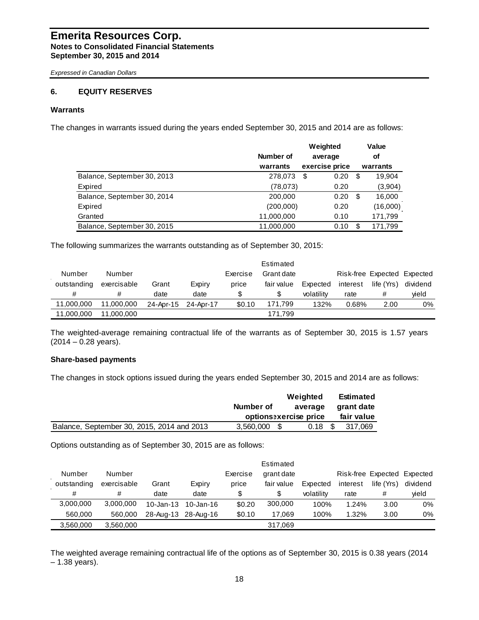*Expressed in Canadian Dollars*

# **6. EQUITY RESERVES**

## **Warrants**

The changes in warrants issued during the years ended September 30, 2015 and 2014 are as follows:

|                             |            | Weighted       |          | Value    |  |
|-----------------------------|------------|----------------|----------|----------|--|
|                             | Number of  | average        |          | оf       |  |
|                             | warrants   | exercise price | warrants |          |  |
| Balance, September 30, 2013 | 278,073    | S<br>0.20      | \$       | 19,904   |  |
| Expired                     | (78, 073)  | 0.20           |          | (3,904)  |  |
| Balance, September 30, 2014 | 200,000    | 0.20           | \$       | 16,000   |  |
| Expired                     | (200,000)  | 0.20           |          | (16,000) |  |
| Granted                     | 11,000,000 | 0.10           |          | 171,799  |  |
| Balance, September 30, 2015 | 11.000.000 | 0.10           | S        | 171.799  |  |

The following summarizes the warrants outstanding as of September 30, 2015:

|             |             |           |           |          | Estimated  |            |          |                             |          |
|-------------|-------------|-----------|-----------|----------|------------|------------|----------|-----------------------------|----------|
| Number      | Number      |           |           | Exercise | Grant date |            |          | Risk-free Expected Expected |          |
| outstanding | exercisable | Grant     | Expiry    | price    | fair value | Expected   | interest | life (Yrs)                  | dividend |
| #           | #           | date      | date      | \$       | S          | volatility | rate     | #                           | vield    |
| 11.000.000  | 11.000.000  | 24-Apr-15 | 24-Apr-17 | \$0.10   | 171.799    | 132%       | 0.68%    | 2.00                        | 0%       |
| 11,000,000  | 11.000.000  |           |           |          | 171.799    |            |          |                             |          |

The weighted-average remaining contractual life of the warrants as of September 30, 2015 is 1.57 years (2014 – 0.28 years).

### **Share-based payments**

The changes in stock options issued during the years ended September 30, 2015 and 2014 are as follows:

|                                            |              | Weighted               | Estimated  |
|--------------------------------------------|--------------|------------------------|------------|
|                                            | Number of    | average                | grant date |
|                                            |              | options: xercise price | fair value |
| Balance, September 30, 2015, 2014 and 2013 | 3.560,000 \$ | $0.18$ \$              | 317.069    |

Options outstanding as of September 30, 2015 are as follows:

|             |             |               |                     |          | Estimated  |            |          |                             |          |
|-------------|-------------|---------------|---------------------|----------|------------|------------|----------|-----------------------------|----------|
| Number      | Number      |               |                     | Exercise | grant date |            |          | Risk-free Expected Expected |          |
| outstanding | exercisable | Grant         | Expiry              | price    | fair value | Expected   | interest | life (Yrs)                  | dividend |
| #           | #           | date          | date                | \$       | \$         | volatility | rate     | #                           | vield    |
| 3,000,000   | 3.000.000   | $10 - Jan-13$ | 10-Jan-16           | \$0.20   | 300,000    | 100%       | 1.24%    | 3.00                        | $0\%$    |
| 560.000     | 560,000     |               | 28-Aug-13 28-Aug-16 | \$0.10   | 17.069     | 100%       | 1.32%    | 3.00                        | 0%       |
| 3,560,000   | 3,560,000   |               |                     |          | 317.069    |            |          |                             |          |

The weighted average remaining contractual life of the options as of September 30, 2015 is 0.38 years (2014 – 1.38 years).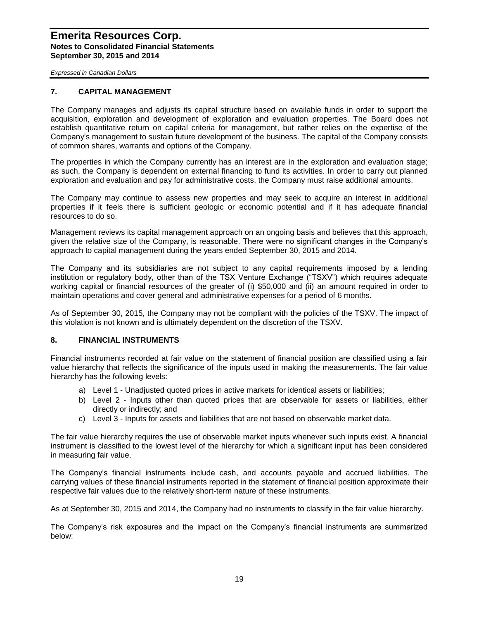*Expressed in Canadian Dollars*

# **7. CAPITAL MANAGEMENT**

The Company manages and adjusts its capital structure based on available funds in order to support the acquisition, exploration and development of exploration and evaluation properties. The Board does not establish quantitative return on capital criteria for management, but rather relies on the expertise of the Company's management to sustain future development of the business. The capital of the Company consists of common shares, warrants and options of the Company.

The properties in which the Company currently has an interest are in the exploration and evaluation stage; as such, the Company is dependent on external financing to fund its activities. In order to carry out planned exploration and evaluation and pay for administrative costs, the Company must raise additional amounts.

The Company may continue to assess new properties and may seek to acquire an interest in additional properties if it feels there is sufficient geologic or economic potential and if it has adequate financial resources to do so.

Management reviews its capital management approach on an ongoing basis and believes that this approach, given the relative size of the Company, is reasonable. There were no significant changes in the Company's approach to capital management during the years ended September 30, 2015 and 2014.

The Company and its subsidiaries are not subject to any capital requirements imposed by a lending institution or regulatory body, other than of the TSX Venture Exchange ("TSXV") which requires adequate working capital or financial resources of the greater of (i) \$50,000 and (ii) an amount required in order to maintain operations and cover general and administrative expenses for a period of 6 months.

As of September 30, 2015, the Company may not be compliant with the policies of the TSXV. The impact of this violation is not known and is ultimately dependent on the discretion of the TSXV.

# **8. FINANCIAL INSTRUMENTS**

Financial instruments recorded at fair value on the statement of financial position are classified using a fair value hierarchy that reflects the significance of the inputs used in making the measurements. The fair value hierarchy has the following levels:

- a) Level 1 Unadjusted quoted prices in active markets for identical assets or liabilities;
- b) Level 2 Inputs other than quoted prices that are observable for assets or liabilities, either directly or indirectly; and
- c) Level 3 Inputs for assets and liabilities that are not based on observable market data.

The fair value hierarchy requires the use of observable market inputs whenever such inputs exist. A financial instrument is classified to the lowest level of the hierarchy for which a significant input has been considered in measuring fair value.

The Company's financial instruments include cash, and accounts payable and accrued liabilities. The carrying values of these financial instruments reported in the statement of financial position approximate their respective fair values due to the relatively short-term nature of these instruments.

As at September 30, 2015 and 2014, the Company had no instruments to classify in the fair value hierarchy.

The Company's risk exposures and the impact on the Company's financial instruments are summarized below: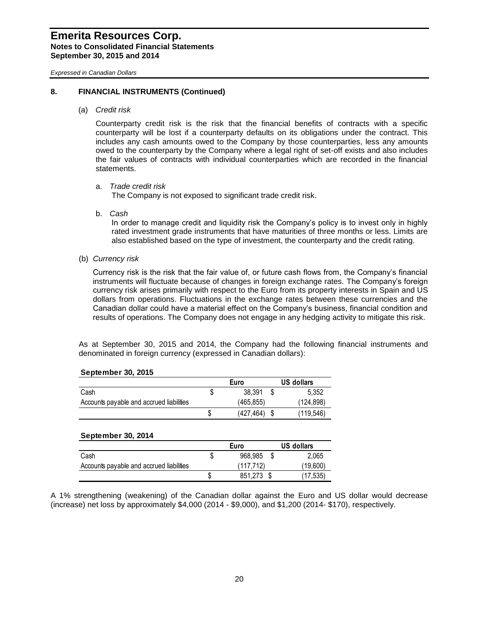*Expressed in Canadian Dollars*

## **8. FINANCIAL INSTRUMENTS (Continued)**

(a) *Credit risk* 

Counterparty credit risk is the risk that the financial benefits of contracts with a specific counterparty will be lost if a counterparty defaults on its obligations under the contract. This includes any cash amounts owed to the Company by those counterparties, less any amounts owed to the counterparty by the Company where a legal right of set-off exists and also includes the fair values of contracts with individual counterparties which are recorded in the financial statements.

#### a. *Trade credit risk*

The Company is not exposed to significant trade credit risk.

b. *Cash*

In order to manage credit and liquidity risk the Company's policy is to invest only in highly rated investment grade instruments that have maturities of three months or less. Limits are also established based on the type of investment, the counterparty and the credit rating.

(b) *Currency risk* 

Currency risk is the risk that the fair value of, or future cash flows from, the Company's financial instruments will fluctuate because of changes in foreign exchange rates. The Company's foreign currency risk arises primarily with respect to the Euro from its property interests in Spain and US dollars from operations. Fluctuations in the exchange rates between these currencies and the Canadian dollar could have a material effect on the Company's business, financial condition and results of operations. The Company does not engage in any hedging activity to mitigate this risk.

As at September 30, 2015 and 2014, the Company had the following financial instruments and denominated in foreign currency (expressed in Canadian dollars):

#### **September 30, 2015**

|                                          | Euro           | US dollars |
|------------------------------------------|----------------|------------|
| Cash                                     | 38.391         | 5.352      |
| Accounts payable and accrued liabilities | (465,855)      | (124, 898) |
|                                          | $(427.464)$ \$ | (119.546)  |

#### **September 30, 2014**

|                                          |   | Euro     | US dollars |
|------------------------------------------|---|----------|------------|
| Cash                                     |   | 968.985  | 2.065      |
| Accounts payable and accrued liabilities |   | 117.712) | (19.600)   |
|                                          | S | 851.273  | (17.535)   |

A 1% strengthening (weakening) of the Canadian dollar against the Euro and US dollar would decrease (increase) net loss by approximately \$4,000 (2014 - \$9,000), and \$1,200 (2014- \$170), respectively.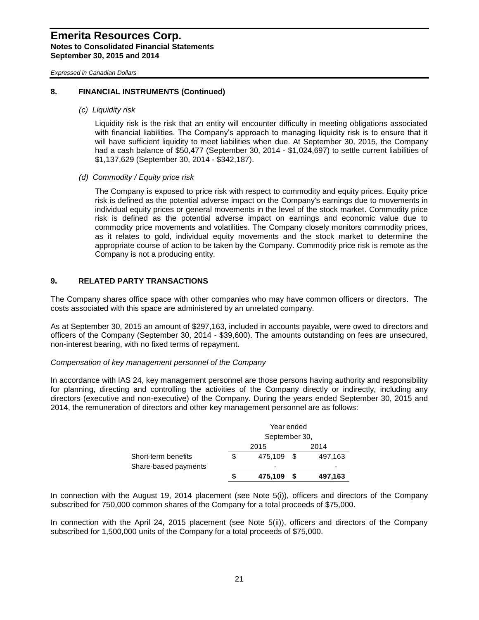*Expressed in Canadian Dollars*

### **8. FINANCIAL INSTRUMENTS (Continued)**

*(c) Liquidity risk* 

Liquidity risk is the risk that an entity will encounter difficulty in meeting obligations associated with financial liabilities. The Company's approach to managing liquidity risk is to ensure that it will have sufficient liquidity to meet liabilities when due. At September 30, 2015, the Company had a cash balance of \$50,477 (September 30, 2014 - \$1,024,697) to settle current liabilities of \$1,137,629 (September 30, 2014 - \$342,187).

*(d) Commodity / Equity price risk*

The Company is exposed to price risk with respect to commodity and equity prices. Equity price risk is defined as the potential adverse impact on the Company's earnings due to movements in individual equity prices or general movements in the level of the stock market. Commodity price risk is defined as the potential adverse impact on earnings and economic value due to commodity price movements and volatilities. The Company closely monitors commodity prices, as it relates to gold, individual equity movements and the stock market to determine the appropriate course of action to be taken by the Company. Commodity price risk is remote as the Company is not a producing entity.

# **9. RELATED PARTY TRANSACTIONS**

The Company shares office space with other companies who may have common officers or directors. The costs associated with this space are administered by an unrelated company.

As at September 30, 2015 an amount of \$297,163, included in accounts payable, were owed to directors and officers of the Company (September 30, 2014 - \$39,600). The amounts outstanding on fees are unsecured, non-interest bearing, with no fixed terms of repayment.

## *Compensation of key management personnel of the Company*

In accordance with IAS 24, key management personnel are those persons having authority and responsibility for planning, directing and controlling the activities of the Company directly or indirectly, including any directors (executive and non-executive) of the Company. During the years ended September 30, 2015 and 2014, the remuneration of directors and other key management personnel are as follows:

|                      | Year ended    |         |      |         |  |
|----------------------|---------------|---------|------|---------|--|
|                      | September 30, |         |      |         |  |
|                      |               | 2015    |      | 2014    |  |
| Short-term benefits  | \$.           | 475,109 | - \$ | 497,163 |  |
| Share-based payments |               | -       |      | -       |  |
|                      |               | 475,109 |      | 497,163 |  |

In connection with the August 19, 2014 placement (see Note 5(i)), officers and directors of the Company subscribed for 750,000 common shares of the Company for a total proceeds of \$75,000.

In connection with the April 24, 2015 placement (see Note 5(ii)), officers and directors of the Company subscribed for 1,500,000 units of the Company for a total proceeds of \$75,000.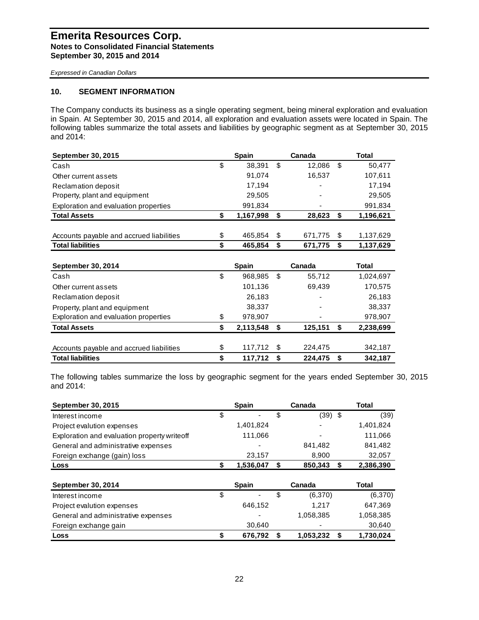*Expressed in Canadian Dollars*

# **10. SEGMENT INFORMATION**

The Company conducts its business as a single operating segment, being mineral exploration and evaluation in Spain. At September 30, 2015 and 2014, all exploration and evaluation assets were located in Spain. The following tables summarize the total assets and liabilities by geographic segment as at September 30, 2015 and 2014:

| September 30, 2015                       | <b>Spain</b>  |     | Canada  | <b>Total</b>    |
|------------------------------------------|---------------|-----|---------|-----------------|
| Cash                                     | \$<br>38,391  | \$  | 12,086  | \$<br>50,477    |
| Other current assets                     | 91,074        |     | 16,537  | 107,611         |
| Reclamation deposit                      | 17,194        |     |         | 17,194          |
| Property, plant and equipment            | 29,505        |     |         | 29,505          |
| Exploration and evaluation properties    | 991,834       |     |         | 991,834         |
| <b>Total Assets</b>                      | 1,167,998     | \$  | 28,623  | \$<br>1,196,621 |
|                                          |               |     |         |                 |
| Accounts payable and accrued liabilities | \$<br>465,854 | \$  | 671,775 | \$<br>1,137,629 |
| <b>Total liabilities</b>                 | \$<br>465,854 | \$  | 671,775 | \$<br>1,137,629 |
|                                          |               |     |         |                 |
| <b>September 30, 2014</b>                | <b>Spain</b>  |     | Canada  | Total           |
| Cash                                     | \$<br>968,985 | \$. | 55,712  | 1,024,697       |
| Other current assets                     | 101,136       |     | 69,439  | 170,575         |
| Reclamation deposit                      | 26,183        |     |         | 26,183          |
| Property, plant and equipment            | 38,337        |     |         | 38,337          |

| <b>Total Assets</b>                      | 2.113.548  | 125.151 | 2,238,699 |
|------------------------------------------|------------|---------|-----------|
|                                          |            |         |           |
| Accounts payable and accrued liabilities | 117.712 \$ | 224.475 | 342.187   |
| <b>Total liabilities</b>                 | 117.712    | 224.475 | 342,187   |
|                                          |            |         |           |

Exploration and evaluation properties  $$ 978,907$  - 978,907

The following tables summarize the loss by geographic segment for the years ended September 30, 2015 and 2014:

| <b>September 30, 2015</b>                    | <b>Spain</b> | Canada          | Total     |
|----------------------------------------------|--------------|-----------------|-----------|
| Interest income                              | \$           | \$<br>$(39)$ \$ | (39)      |
| Project evalution expenses                   | 1,401,824    |                 | 1,401,824 |
| Exploration and evaluation property writeoff | 111,066      |                 | 111,066   |
| General and administrative expenses          |              | 841,482         | 841,482   |
| Foreign exchange (gain) loss                 | 23,157       | 8,900           | 32,057    |
| Loss                                         | 1,536,047    | 850,343<br>S    | 2,386,390 |
|                                              |              |                 |           |
| <b>September 30, 2014</b>                    | <b>Spain</b> | Canada          | Total     |
| Interest income                              | \$           | \$<br>(6,370)   | (6,370)   |
| Project evalution expenses                   | 646,152      | 1,217           | 647,369   |
| General and administrative expenses          |              | 1,058,385       | 1,058,385 |
| Foreign exchange gain                        | 30,640       |                 | 30,640    |
| <b>Loss</b>                                  | 676,792      | 1,053,232       | 1,730,024 |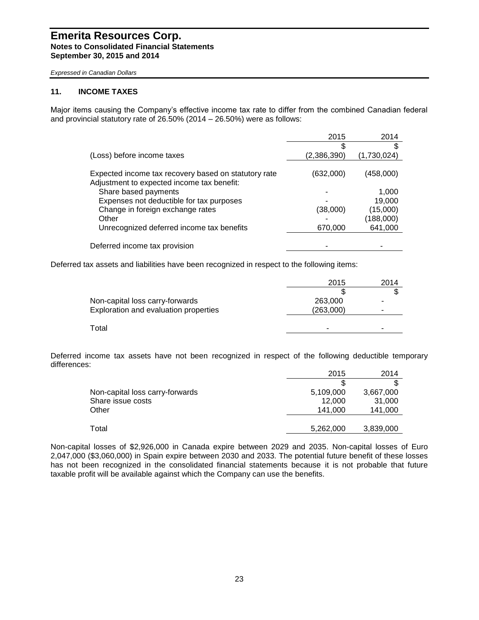*Expressed in Canadian Dollars*

# **11. INCOME TAXES**

Major items causing the Company's effective income tax rate to differ from the combined Canadian federal and provincial statutory rate of 26.50% (2014 – 26.50%) were as follows:

|                                                      | 2015        | 2014        |
|------------------------------------------------------|-------------|-------------|
|                                                      | S           |             |
| (Loss) before income taxes                           | (2,386,390) | (1,730,024) |
|                                                      |             |             |
| Expected income tax recovery based on statutory rate | (632,000)   | (458,000)   |
| Adjustment to expected income tax benefit:           |             |             |
| Share based payments                                 |             | 1.000       |
| Expenses not deductible for tax purposes             |             | 19.000      |
| Change in foreign exchange rates                     | (38,000)    | (15,000)    |
| Other                                                |             | (188,000)   |
| Unrecognized deferred income tax benefits            | 670,000     | 641,000     |
|                                                      |             |             |
| Deferred income tax provision                        |             |             |

Deferred tax assets and liabilities have been recognized in respect to the following items:

|                                       | 2015      | 2014 |
|---------------------------------------|-----------|------|
|                                       |           |      |
| Non-capital loss carry-forwards       | 263,000   |      |
| Exploration and evaluation properties | (263,000) | -    |
|                                       |           |      |
| Total                                 |           |      |

Deferred income tax assets have not been recognized in respect of the following deductible temporary differences:

|                                 | 2015      | 2014      |
|---------------------------------|-----------|-----------|
|                                 |           |           |
| Non-capital loss carry-forwards | 5,109,000 | 3,667,000 |
| Share issue costs               | 12.000    | 31,000    |
| Other                           | 141.000   | 141,000   |
|                                 |           |           |
| Total                           | 5,262,000 | 3,839,000 |

Non-capital losses of \$2,926,000 in Canada expire between 2029 and 2035. Non-capital losses of Euro 2,047,000 (\$3,060,000) in Spain expire between 2030 and 2033. The potential future benefit of these losses has not been recognized in the consolidated financial statements because it is not probable that future taxable profit will be available against which the Company can use the benefits.